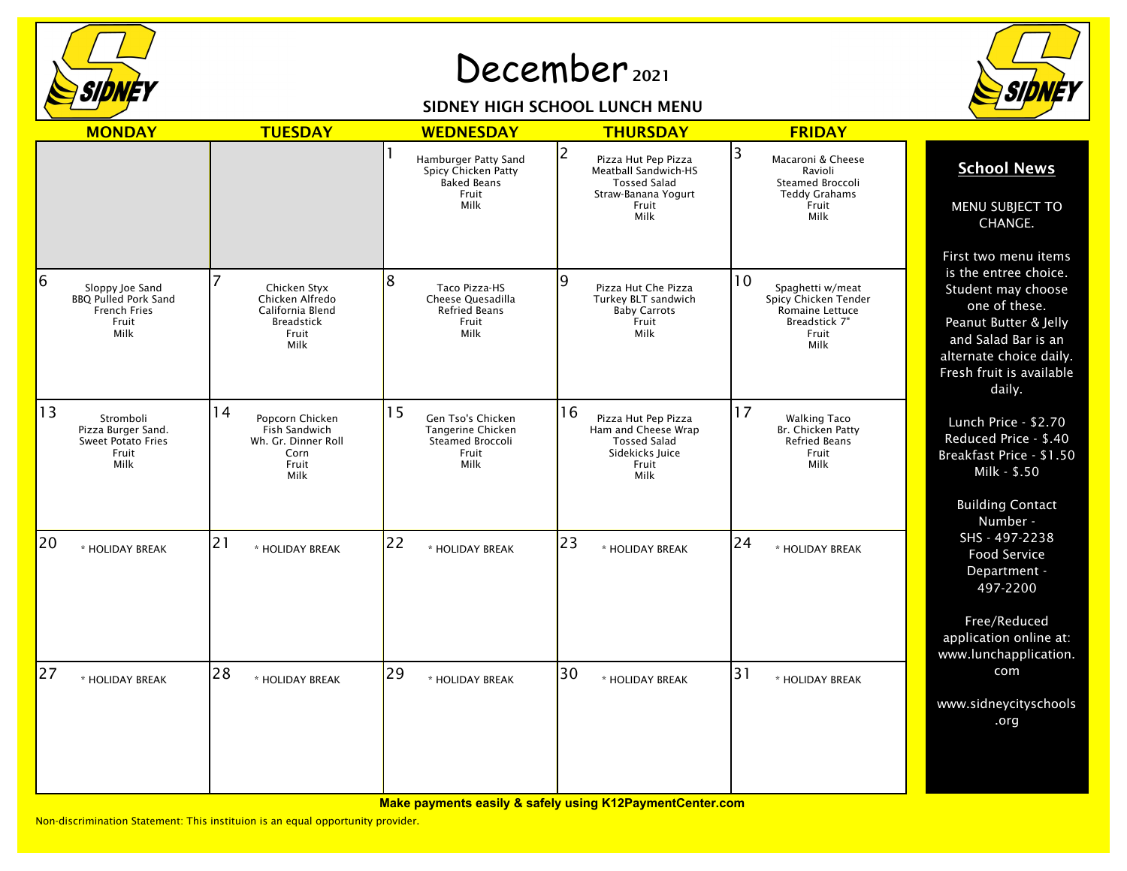

## December 2021

## SIDNEY HIGH SCHOOL LUNCH MENU



| <b>MONDAY</b>                                                                               | <b>TUESDAY</b>                                                                            | <b>WEDNESDAY</b>                                                                   | <b>THURSDAY</b>                                                                                                        | <b>FRIDAY</b>                                                                                       |                                                                                                                                                                                                       |
|---------------------------------------------------------------------------------------------|-------------------------------------------------------------------------------------------|------------------------------------------------------------------------------------|------------------------------------------------------------------------------------------------------------------------|-----------------------------------------------------------------------------------------------------|-------------------------------------------------------------------------------------------------------------------------------------------------------------------------------------------------------|
|                                                                                             |                                                                                           | Hamburger Patty Sand<br>Spicy Chicken Patty<br><b>Baked Beans</b><br>Fruit<br>Milk | 2<br>Pizza Hut Pep Pizza<br><b>Meatball Sandwich-HS</b><br><b>Tossed Salad</b><br>Straw-Banana Yogurt<br>Fruit<br>Milk | 3<br>Macaroni & Cheese<br>Ravioli<br>Steamed Broccoli<br><b>Teddy Grahams</b><br>Fruit<br>Milk      | <b>School News</b><br>MENU SUBJECT TO<br>CHANGE.                                                                                                                                                      |
| 6<br>Sloppy Joe Sand<br><b>BBQ Pulled Pork Sand</b><br><b>French Fries</b><br>Fruit<br>Milk | Chicken Styx<br>Chicken Alfredo<br>California Blend<br><b>Breadstick</b><br>Fruit<br>Milk | 8<br>Taco Pizza-HS<br>Cheese Quesadilla<br><b>Refried Beans</b><br>Fruit<br>Milk   | 9<br>Pizza Hut Che Pizza<br>Turkey BLT sandwich<br><b>Baby Carrots</b><br>Fruit<br>Milk                                | 10<br>Spaghetti w/meat<br>Spicy Chicken Tender<br>Romaine Lettuce<br>Breadstick 7"<br>Fruit<br>Milk | First two menu items<br>is the entree choice.<br>Student may choose<br>one of these.<br>Peanut Butter & Jelly<br>and Salad Bar is an<br>alternate choice daily.<br>Fresh fruit is available<br>daily. |
| 13<br>Stromboli<br>Pizza Burger Sand.<br><b>Sweet Potato Fries</b><br>Fruit<br>Milk         | 14<br>Popcorn Chicken<br>Fish Sandwich<br>Wh. Gr. Dinner Roll<br>Corn<br>Fruit<br>Milk    | 15<br>Gen Tso's Chicken<br>Tangerine Chicken<br>Steamed Broccoli<br>Fruit<br>Milk  | 16<br>Pizza Hut Pep Pizza<br>Ham and Cheese Wrap<br><b>Tossed Salad</b><br>Sidekicks Juice<br>Fruit<br>Milk            | 17<br><b>Walking Taco</b><br>Br. Chicken Patty<br><b>Refried Beans</b><br>Fruit<br>Milk             | Lunch Price - \$2.70<br>Reduced Price - \$.40<br>Breakfast Price - \$1.50<br>Milk - \$.50<br><b>Building Contact</b>                                                                                  |
| 20<br>* HOLIDAY BREAK                                                                       | 21<br>* HOLIDAY BREAK                                                                     | 22<br>* HOLIDAY BREAK                                                              | 23<br>* HOLIDAY BREAK                                                                                                  | 24<br>* HOLIDAY BREAK                                                                               | Number -<br>SHS - 497-2238<br><b>Food Service</b><br>Department -<br>497-2200<br>Free/Reduced<br>application online at:                                                                               |
| 27<br>* HOLIDAY BREAK                                                                       | 28<br>* HOLIDAY BREAK                                                                     | 29<br>* HOLIDAY BREAK                                                              | 30<br>* HOLIDAY BREAK                                                                                                  | 31<br>* HOLIDAY BREAK                                                                               | www.lunchapplication.<br>com<br>www.sidneycityschools<br>.org                                                                                                                                         |

**Make payments easily & safely using K12PaymentCenter.com**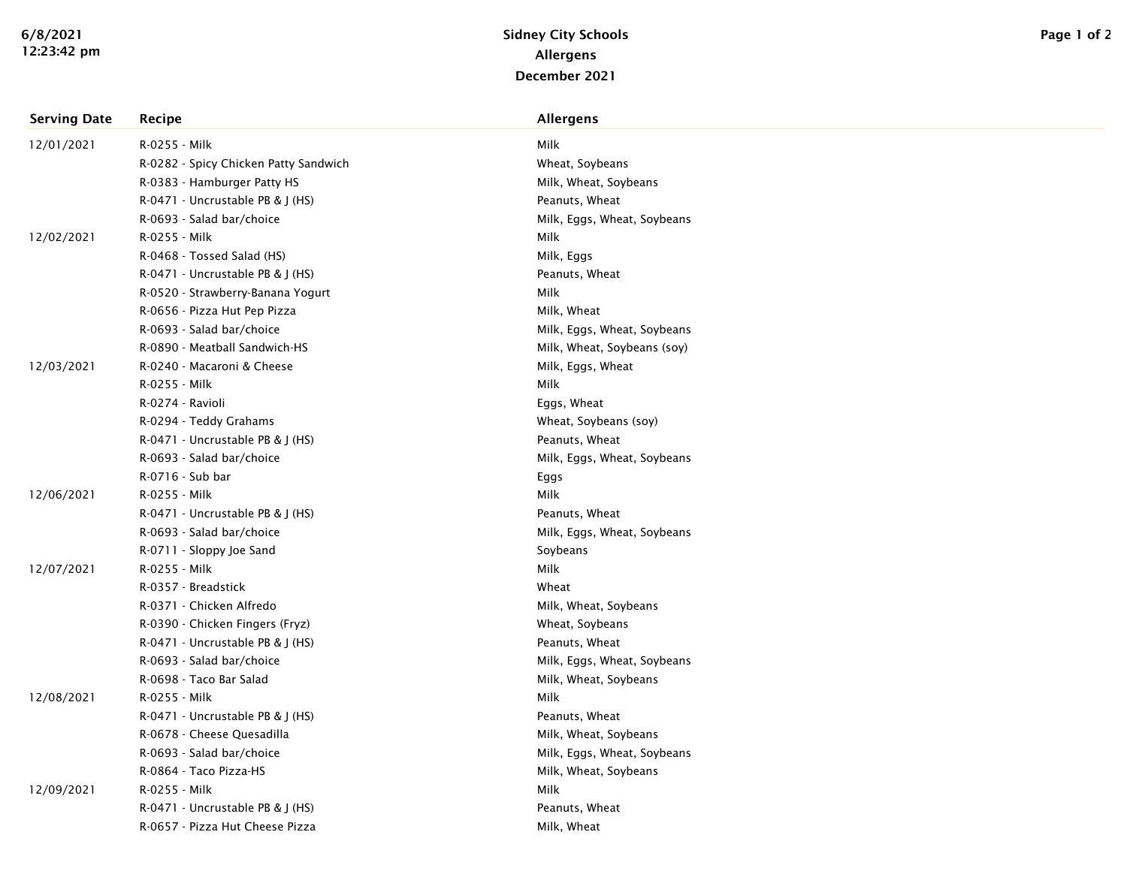| <b>Serving Date</b> | Recipe                                | <b>Allergens</b>            |
|---------------------|---------------------------------------|-----------------------------|
| 12/01/2021          | R-0255 - Milk                         | Milk                        |
|                     | R-0282 - Spicy Chicken Patty Sandwich | Wheat, Soybeans             |
|                     | R-0383 - Hamburger Patty HS           | Milk, Wheat, Soybeans       |
|                     | R-0471 - Uncrustable PB & J (HS)      | Peanuts, Wheat              |
|                     | R-0693 - Salad bar/choice             | Milk, Eggs, Wheat, Soybeans |
| 12/02/2021          | R-0255 - Milk                         | Milk                        |
|                     | R-0468 - Tossed Salad (HS)            | Milk, Eggs                  |
|                     | R-0471 - Uncrustable PB & J (HS)      | Peanuts, Wheat              |
|                     | R-0520 - Strawberry-Banana Yogurt     | Milk                        |
|                     | R-0656 - Pizza Hut Pep Pizza          | Milk, Wheat                 |
|                     | R-0693 - Salad bar/choice             | Milk, Eggs, Wheat, Soybeans |
|                     | R-0890 - Meatball Sandwich-HS         | Milk, Wheat, Soybeans (soy) |
| 12/03/2021          | R-0240 - Macaroni & Cheese            | Milk, Eggs, Wheat           |
|                     | R-0255 - Milk                         | Milk                        |
|                     | R-0274 - Ravioli                      | Eggs, Wheat                 |
|                     | R-0294 - Teddy Grahams                | Wheat, Soybeans (soy)       |
|                     | R-0471 - Uncrustable PB & J (HS)      | Peanuts, Wheat              |
|                     | R-0693 - Salad bar/choice             | Milk, Eggs, Wheat, Soybeans |
|                     | R-0716 - Sub bar                      | Eggs                        |
| 12/06/2021          | R-0255 - Milk                         | Milk                        |
|                     | R-0471 - Uncrustable PB & J (HS)      | Peanuts, Wheat              |
|                     | R-0693 - Salad bar/choice             | Milk, Eggs, Wheat, Soybeans |
|                     | R-0711 - Sloppy Joe Sand              | Soybeans                    |
| 12/07/2021          | R-0255 - Milk                         | Milk                        |
|                     | R-0357 - Breadstick                   | Wheat                       |
|                     | R-0371 - Chicken Alfredo              | Milk, Wheat, Soybeans       |
|                     | R-0390 - Chicken Fingers (Fryz)       | Wheat, Soybeans             |
|                     | R-0471 - Uncrustable PB & J (HS)      | Peanuts, Wheat              |
|                     | R-0693 - Salad bar/choice             | Milk, Eggs, Wheat, Soybeans |
|                     | R-0698 - Taco Bar Salad               | Milk, Wheat, Soybeans       |
| 12/08/2021          | R-0255 - Milk                         | Milk                        |
|                     | R-0471 - Uncrustable PB & J (HS)      | Peanuts, Wheat              |
|                     | R-0678 - Cheese Quesadilla            | Milk, Wheat, Soybeans       |
|                     | R-0693 - Salad bar/choice             | Milk, Eggs, Wheat, Soybeans |
|                     | R-0864 - Taco Pizza-HS                | Milk, Wheat, Soybeans       |
| 12/09/2021          | R-0255 - Milk                         | Milk                        |
|                     | R-0471 - Uncrustable PB & J (HS)      | Peanuts, Wheat              |
|                     | R-0657 - Pizza Hut Cheese Pizza       | Milk, Wheat                 |